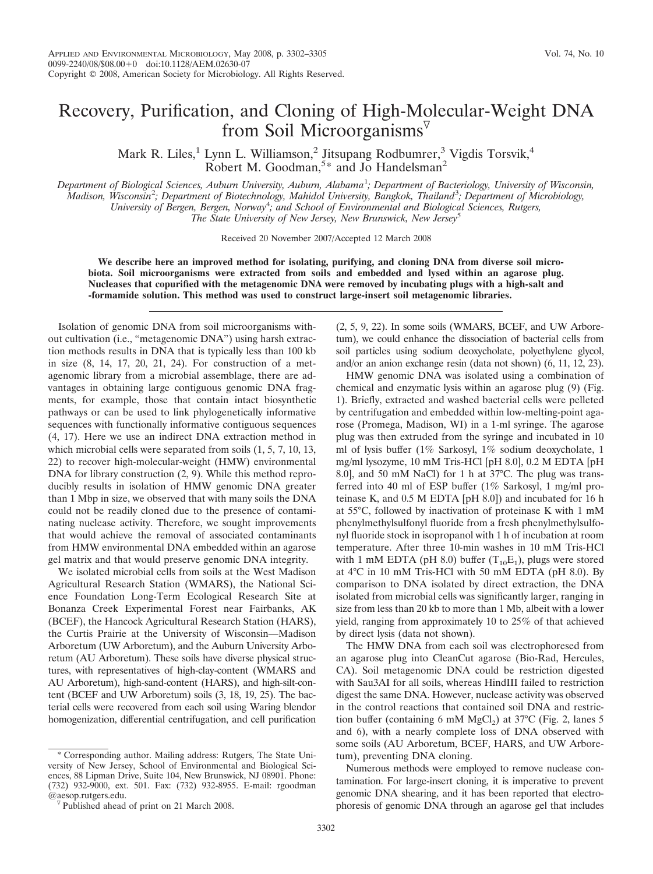## Recovery, Purification, and Cloning of High-Molecular-Weight DNA from Soil Microorganisms $\nabla$

Mark R. Liles,<sup>1</sup> Lynn L. Williamson,<sup>2</sup> Jitsupang Rodbumrer,<sup>3</sup> Vigdis Torsvik,<sup>4</sup> Robert M. Goodman,<sup>5\*</sup> and Jo Handelsman<sup>2</sup>

Department of Biological Sciences, Auburn University, Auburn, Alabama<sup>1</sup>; Department of Bacteriology, University of Wisconsin, *Madison, Wisconsin*<sup>2</sup> *; Department of Biotechnology, Mahidol University, Bangkok, Thailand*<sup>3</sup> *; Department of Microbiology, University of Bergen, Bergen, Norway*<sup>4</sup> *; and School of Environmental and Biological Sciences, Rutgers, The State University of New Jersey, New Brunswick, New Jersey*<sup>5</sup>

Received 20 November 2007/Accepted 12 March 2008

**We describe here an improved method for isolating, purifying, and cloning DNA from diverse soil microbiota. Soil microorganisms were extracted from soils and embedded and lysed within an agarose plug. Nucleases that copurified with the metagenomic DNA were removed by incubating plugs with a high-salt and -formamide solution. This method was used to construct large-insert soil metagenomic libraries.**

Isolation of genomic DNA from soil microorganisms without cultivation (i.e., "metagenomic DNA") using harsh extraction methods results in DNA that is typically less than 100 kb in size (8, 14, 17, 20, 21, 24). For construction of a metagenomic library from a microbial assemblage, there are advantages in obtaining large contiguous genomic DNA fragments, for example, those that contain intact biosynthetic pathways or can be used to link phylogenetically informative sequences with functionally informative contiguous sequences (4, 17). Here we use an indirect DNA extraction method in which microbial cells were separated from soils (1, 5, 7, 10, 13, 22) to recover high-molecular-weight (HMW) environmental DNA for library construction  $(2, 9)$ . While this method reproducibly results in isolation of HMW genomic DNA greater than 1 Mbp in size, we observed that with many soils the DNA could not be readily cloned due to the presence of contaminating nuclease activity. Therefore, we sought improvements that would achieve the removal of associated contaminants from HMW environmental DNA embedded within an agarose gel matrix and that would preserve genomic DNA integrity.

We isolated microbial cells from soils at the West Madison Agricultural Research Station (WMARS), the National Science Foundation Long-Term Ecological Research Site at Bonanza Creek Experimental Forest near Fairbanks, AK (BCEF), the Hancock Agricultural Research Station (HARS), the Curtis Prairie at the University of Wisconsin—Madison Arboretum (UW Arboretum), and the Auburn University Arboretum (AU Arboretum). These soils have diverse physical structures, with representatives of high-clay-content (WMARS and AU Arboretum), high-sand-content (HARS), and high-silt-content (BCEF and UW Arboretum) soils (3, 18, 19, 25). The bacterial cells were recovered from each soil using Waring blendor homogenization, differential centrifugation, and cell purification

\* Corresponding author. Mailing address: Rutgers, The State University of New Jersey, School of Environmental and Biological Sciences, 88 Lipman Drive, Suite 104, New Brunswick, NJ 08901. Phone: (732) 932-9000, ext. 501. Fax: (732) 932-8955. E-mail: rgoodman (2, 5, 9, 22). In some soils (WMARS, BCEF, and UW Arboretum), we could enhance the dissociation of bacterial cells from soil particles using sodium deoxycholate, polyethylene glycol, and/or an anion exchange resin (data not shown) (6, 11, 12, 23).

HMW genomic DNA was isolated using a combination of chemical and enzymatic lysis within an agarose plug (9) (Fig. 1). Briefly, extracted and washed bacterial cells were pelleted by centrifugation and embedded within low-melting-point agarose (Promega, Madison, WI) in a 1-ml syringe. The agarose plug was then extruded from the syringe and incubated in 10 ml of lysis buffer (1% Sarkosyl, 1% sodium deoxycholate, 1 mg/ml lysozyme, 10 mM Tris-HCl [pH 8.0], 0.2 M EDTA [pH 8.0], and 50 mM NaCl) for 1 h at 37°C. The plug was transferred into 40 ml of ESP buffer (1% Sarkosyl, 1 mg/ml proteinase K, and 0.5 M EDTA [pH 8.0]) and incubated for 16 h at 55°C, followed by inactivation of proteinase K with 1 mM phenylmethylsulfonyl fluoride from a fresh phenylmethylsulfonyl fluoride stock in isopropanol with 1 h of incubation at room temperature. After three 10-min washes in 10 mM Tris-HCl with 1 mM EDTA (pH 8.0) buffer  $(T_{10}E_1)$ , plugs were stored at 4°C in 10 mM Tris-HCl with 50 mM EDTA (pH 8.0). By comparison to DNA isolated by direct extraction, the DNA isolated from microbial cells was significantly larger, ranging in size from less than 20 kb to more than 1 Mb, albeit with a lower yield, ranging from approximately 10 to 25% of that achieved by direct lysis (data not shown).

The HMW DNA from each soil was electrophoresed from an agarose plug into CleanCut agarose (Bio-Rad, Hercules, CA). Soil metagenomic DNA could be restriction digested with Sau3AI for all soils, whereas HindIII failed to restriction digest the same DNA. However, nuclease activity was observed in the control reactions that contained soil DNA and restriction buffer (containing 6 mM  $MgCl<sub>2</sub>$ ) at 37°C (Fig. 2, lanes 5 and 6), with a nearly complete loss of DNA observed with some soils (AU Arboretum, BCEF, HARS, and UW Arboretum), preventing DNA cloning.

Numerous methods were employed to remove nuclease contamination. For large-insert cloning, it is imperative to prevent genomic DNA shearing, and it has been reported that electrophoresis of genomic DNA through an agarose gel that includes

 $\sqrt[p]{}$  Published ahead of print on 21 March 2008.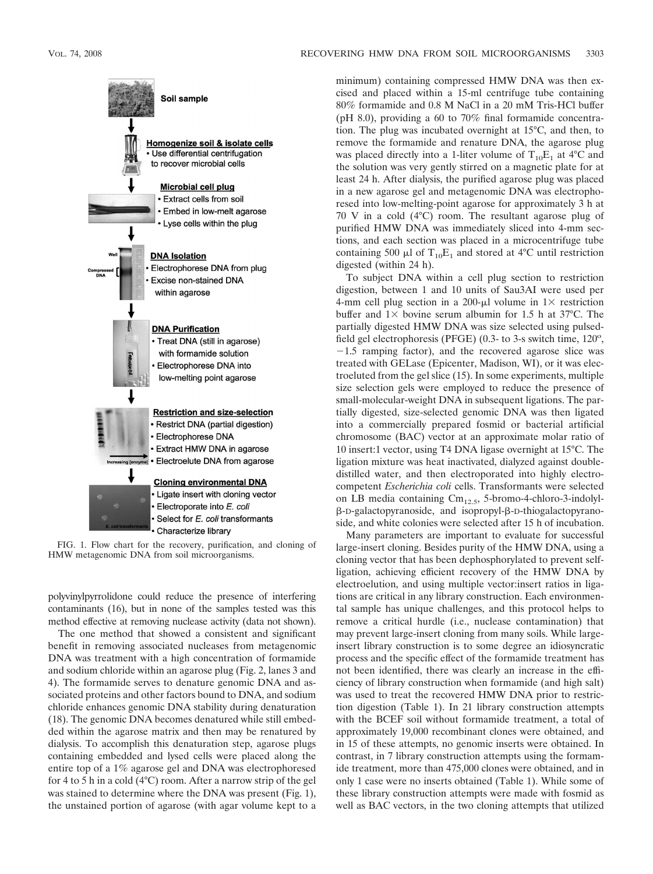

FIG. 1. Flow chart for the recovery, purification, and cloning of HMW metagenomic DNA from soil microorganisms.

polyvinylpyrrolidone could reduce the presence of interfering contaminants (16), but in none of the samples tested was this method effective at removing nuclease activity (data not shown).

The one method that showed a consistent and significant benefit in removing associated nucleases from metagenomic DNA was treatment with a high concentration of formamide and sodium chloride within an agarose plug (Fig. 2, lanes 3 and 4). The formamide serves to denature genomic DNA and associated proteins and other factors bound to DNA, and sodium chloride enhances genomic DNA stability during denaturation (18). The genomic DNA becomes denatured while still embedded within the agarose matrix and then may be renatured by dialysis. To accomplish this denaturation step, agarose plugs containing embedded and lysed cells were placed along the entire top of a 1% agarose gel and DNA was electrophoresed for 4 to 5 h in a cold (4°C) room. After a narrow strip of the gel was stained to determine where the DNA was present (Fig. 1), the unstained portion of agarose (with agar volume kept to a

minimum) containing compressed HMW DNA was then excised and placed within a 15-ml centrifuge tube containing 80% formamide and 0.8 M NaCl in a 20 mM Tris-HCl buffer (pH 8.0), providing a 60 to 70% final formamide concentration. The plug was incubated overnight at 15°C, and then, to remove the formamide and renature DNA, the agarose plug was placed directly into a 1-liter volume of  $T_{10}E_1$  at 4°C and the solution was very gently stirred on a magnetic plate for at least 24 h. After dialysis, the purified agarose plug was placed in a new agarose gel and metagenomic DNA was electrophoresed into low-melting-point agarose for approximately 3 h at 70 V in a cold (4°C) room. The resultant agarose plug of purified HMW DNA was immediately sliced into 4-mm sections, and each section was placed in a microcentrifuge tube containing 500  $\mu$ l of T<sub>10</sub>E<sub>1</sub> and stored at 4°C until restriction digested (within 24 h).

To subject DNA within a cell plug section to restriction digestion, between 1 and 10 units of Sau3AI were used per 4-mm cell plug section in a 200- $\mu$ l volume in 1 $\times$  restriction buffer and  $1 \times$  bovine serum albumin for 1.5 h at 37°C. The partially digested HMW DNA was size selected using pulsedfield gel electrophoresis (PFGE) (0.3- to 3-s switch time,  $120^\circ$ ,  $-1.5$  ramping factor), and the recovered agarose slice was treated with GELase (Epicenter, Madison, WI), or it was electroeluted from the gel slice (15). In some experiments, multiple size selection gels were employed to reduce the presence of small-molecular-weight DNA in subsequent ligations. The partially digested, size-selected genomic DNA was then ligated into a commercially prepared fosmid or bacterial artificial chromosome (BAC) vector at an approximate molar ratio of 10 insert:1 vector, using T4 DNA ligase overnight at 15°C. The ligation mixture was heat inactivated, dialyzed against doubledistilled water, and then electroporated into highly electrocompetent *Escherichia coli* cells. Transformants were selected on LB media containing  $\text{Cm}_{12.5}$ , 5-bromo-4-chloro-3-indolylβ-D-galactopyranoside, and isopropyl-β-D-thiogalactopyranoside, and white colonies were selected after 15 h of incubation.

Many parameters are important to evaluate for successful large-insert cloning. Besides purity of the HMW DNA, using a cloning vector that has been dephosphorylated to prevent selfligation, achieving efficient recovery of the HMW DNA by electroelution, and using multiple vector:insert ratios in ligations are critical in any library construction. Each environmental sample has unique challenges, and this protocol helps to remove a critical hurdle (i.e., nuclease contamination) that may prevent large-insert cloning from many soils. While largeinsert library construction is to some degree an idiosyncratic process and the specific effect of the formamide treatment has not been identified, there was clearly an increase in the efficiency of library construction when formamide (and high salt) was used to treat the recovered HMW DNA prior to restriction digestion (Table 1). In 21 library construction attempts with the BCEF soil without formamide treatment, a total of approximately 19,000 recombinant clones were obtained, and in 15 of these attempts, no genomic inserts were obtained. In contrast, in 7 library construction attempts using the formamide treatment, more than 475,000 clones were obtained, and in only 1 case were no inserts obtained (Table 1). While some of these library construction attempts were made with fosmid as well as BAC vectors, in the two cloning attempts that utilized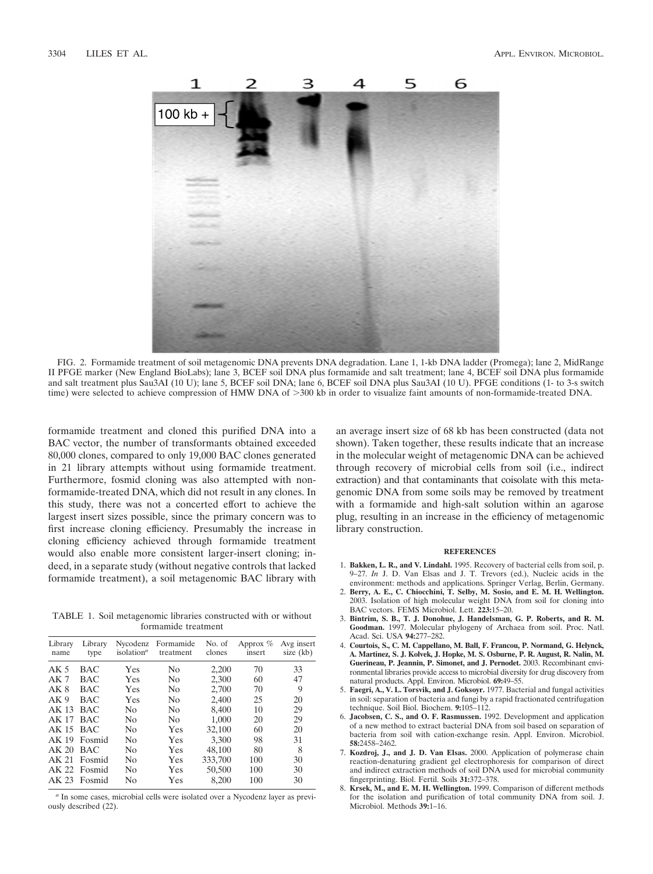

FIG. 2. Formamide treatment of soil metagenomic DNA prevents DNA degradation. Lane 1, 1-kb DNA ladder (Promega); lane 2, MidRange II PFGE marker (New England BioLabs); lane 3, BCEF soil DNA plus formamide and salt treatment; lane 4, BCEF soil DNA plus formamide and salt treatment plus Sau3AI (10 U); lane 5, BCEF soil DNA; lane 6, BCEF soil DNA plus Sau3AI (10 U). PFGE conditions (1- to 3-s switch time) were selected to achieve compression of HMW DNA of >300 kb in order to visualize faint amounts of non-formamide-treated DNA.

formamide treatment and cloned this purified DNA into a BAC vector, the number of transformants obtained exceeded 80,000 clones, compared to only 19,000 BAC clones generated in 21 library attempts without using formamide treatment. Furthermore, fosmid cloning was also attempted with nonformamide-treated DNA, which did not result in any clones. In this study, there was not a concerted effort to achieve the largest insert sizes possible, since the primary concern was to first increase cloning efficiency. Presumably the increase in cloning efficiency achieved through formamide treatment would also enable more consistent larger-insert cloning; indeed, in a separate study (without negative controls that lacked formamide treatment), a soil metagenomic BAC library with

TABLE 1. Soil metagenomic libraries constructed with or without formamide treatment

| Library<br>name  | Library<br>type | isolation <sup>a</sup> | Nycodenz Formamide<br>treatment | No. of<br>clones | Approx $%$<br>insert | Avg insert<br>size (kb) |
|------------------|-----------------|------------------------|---------------------------------|------------------|----------------------|-------------------------|
| AK <sub>5</sub>  | <b>BAC</b>      | Yes                    | N <sub>0</sub>                  | 2,200            | 70                   | 33                      |
| AK <sub>7</sub>  | <b>BAC</b>      | Yes                    | No                              | 2.300            | 60                   | 47                      |
| AK 8             | <b>BAC</b>      | Yes                    | No                              | 2,700            | 70                   | 9                       |
| AK <sub>9</sub>  | BAC             | Yes                    | N <sub>0</sub>                  | 2.400            | 25                   | 20                      |
| AK <sub>13</sub> | <b>BAC</b>      | N <sub>0</sub>         | No                              | 8,400            | 10                   | 29                      |
| AK 17            | <b>BAC</b>      | N <sub>0</sub>         | N <sub>0</sub>                  | 1.000            | 20                   | 29                      |
| $AK 15$ BAC      |                 | N <sub>0</sub>         | Yes                             | 32,100           | 60                   | 20                      |
|                  | AK 19 Fosmid    | N <sub>0</sub>         | Yes                             | 3,300            | 98                   | 31                      |
| $AK 20$ BAC      |                 | N <sub>0</sub>         | Yes                             | 48.100           | 80                   | 8                       |
|                  | AK 21 Fosmid    | N <sub>0</sub>         | Yes                             | 333,700          | 100                  | 30                      |
|                  | AK 22 Fosmid    | N <sub>0</sub>         | Yes                             | 50,500           | 100                  | 30                      |
|                  | AK 23 Fosmid    | No                     | Yes                             | 8.200            | 100                  | 30                      |
|                  |                 |                        |                                 |                  |                      |                         |

*<sup>a</sup>* In some cases, microbial cells were isolated over a Nycodenz layer as previously described (22).

an average insert size of 68 kb has been constructed (data not shown). Taken together, these results indicate that an increase in the molecular weight of metagenomic DNA can be achieved through recovery of microbial cells from soil (i.e., indirect extraction) and that contaminants that coisolate with this metagenomic DNA from some soils may be removed by treatment with a formamide and high-salt solution within an agarose plug, resulting in an increase in the efficiency of metagenomic library construction.

## **REFERENCES**

- 1. **Bakken, L. R., and V. Lindahl.** 1995. Recovery of bacterial cells from soil, p. 9–27. *In* J. D. Van Elsas and J. T. Trevors (ed.), Nucleic acids in the environment: methods and applications. Springer Verlag, Berlin, Germany.
- 2. **Berry, A. E., C. Chiocchini, T. Selby, M. Sosio, and E. M. H. Wellington.** 2003. Isolation of high molecular weight DNA from soil for cloning into BAC vectors. FEMS Microbiol. Lett. **223:**15–20.
- 3. **Bintrim, S. B., T. J. Donohue, J. Handelsman, G. P. Roberts, and R. M. Goodman.** 1997. Molecular phylogeny of Archaea from soil. Proc. Natl. Acad. Sci. USA **94:**277–282.
- 4. **Courtois, S., C. M. Cappellano, M. Ball, F. Francou, P. Normand, G. Helynck, A. Martinez, S. J. Kolvek, J. Hopke, M. S. Osburne, P. R. August, R. Nalin, M. Guerineau, P. Jeannin, P. Simonet, and J. Pernodet.** 2003. Recombinant environmental libraries provide access to microbial diversity for drug discovery from natural products. Appl. Environ. Microbiol. **69:**49–55.
- 5. **Faegri, A., V. L. Torsvik, and J. Goksoyr.** 1977. Bacterial and fungal activities in soil: separation of bacteria and fungi by a rapid fractionated centrifugation technique. Soil Biol. Biochem. **9:**105–112.
- 6. **Jacobsen, C. S., and O. F. Rasmussen.** 1992. Development and application of a new method to extract bacterial DNA from soil based on separation of bacteria from soil with cation-exchange resin. Appl. Environ. Microbiol. **58:**2458–2462.
- 7. **Kozdroj, J., and J. D. Van Elsas.** 2000. Application of polymerase chain reaction-denaturing gradient gel electrophoresis for comparison of direct and indirect extraction methods of soil DNA used for microbial community fingerprinting. Biol. Fertil. Soils **31:**372–378.
- 8. **Krsek, M., and E. M. H. Wellington.** 1999. Comparison of different methods for the isolation and purification of total community DNA from soil. J. Microbiol. Methods **39:**1–16.